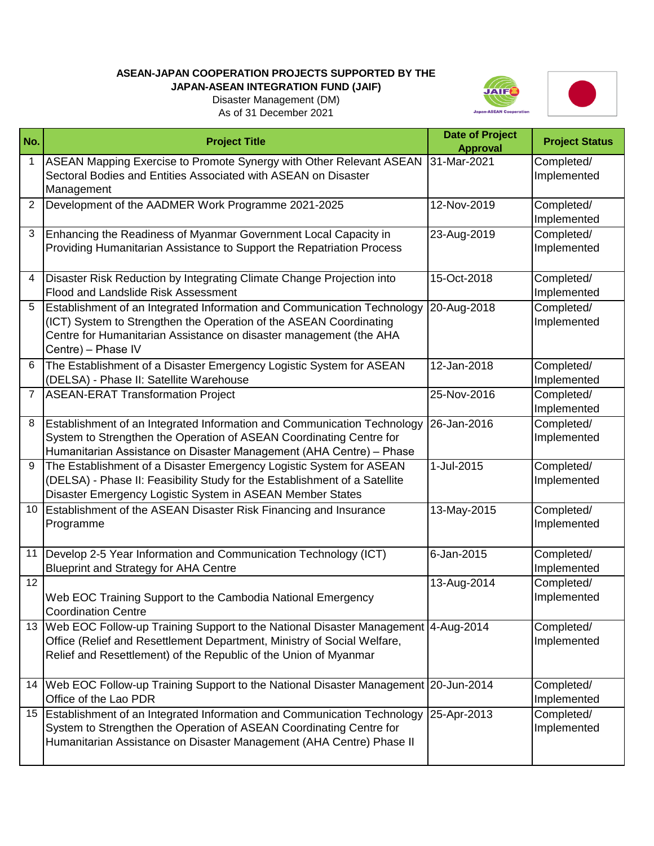## **ASEAN-JAPAN COOPERATION PROJECTS SUPPORTED BY THE**

## **JAPAN-ASEAN INTEGRATION FUND (JAIF)** Disaster Management (DM)





As of 31 December 2021

| No.             | <b>Project Title</b>                                                                                                                                                                                                                      | <b>Date of Project</b><br><b>Approval</b> | <b>Project Status</b>     |
|-----------------|-------------------------------------------------------------------------------------------------------------------------------------------------------------------------------------------------------------------------------------------|-------------------------------------------|---------------------------|
| $\mathbf 1$     | ASEAN Mapping Exercise to Promote Synergy with Other Relevant ASEAN<br>Sectoral Bodies and Entities Associated with ASEAN on Disaster<br>Management                                                                                       | 31-Mar-2021                               | Completed/<br>Implemented |
| $\overline{2}$  | Development of the AADMER Work Programme 2021-2025                                                                                                                                                                                        | 12-Nov-2019                               | Completed/<br>Implemented |
| 3               | Enhancing the Readiness of Myanmar Government Local Capacity in<br>Providing Humanitarian Assistance to Support the Repatriation Process                                                                                                  | 23-Aug-2019                               | Completed/<br>Implemented |
| 4               | Disaster Risk Reduction by Integrating Climate Change Projection into<br><b>Flood and Landslide Risk Assessment</b>                                                                                                                       | 15-Oct-2018                               | Completed/<br>Implemented |
| 5               | Establishment of an Integrated Information and Communication Technology<br>(ICT) System to Strengthen the Operation of the ASEAN Coordinating<br>Centre for Humanitarian Assistance on disaster management (the AHA<br>Centre) - Phase IV | 20-Aug-2018                               | Completed/<br>Implemented |
| 6               | The Establishment of a Disaster Emergency Logistic System for ASEAN<br>(DELSA) - Phase II: Satellite Warehouse                                                                                                                            | 12-Jan-2018                               | Completed/<br>Implemented |
| $7\overline{ }$ | <b>ASEAN-ERAT Transformation Project</b>                                                                                                                                                                                                  | 25-Nov-2016                               | Completed/<br>Implemented |
| 8               | Establishment of an Integrated Information and Communication Technology<br>System to Strengthen the Operation of ASEAN Coordinating Centre for<br>Humanitarian Assistance on Disaster Management (AHA Centre) - Phase                     | 26-Jan-2016                               | Completed/<br>Implemented |
| 9               | The Establishment of a Disaster Emergency Logistic System for ASEAN<br>(DELSA) - Phase II: Feasibility Study for the Establishment of a Satellite<br>Disaster Emergency Logistic System in ASEAN Member States                            | 1-Jul-2015                                | Completed/<br>Implemented |
| 10 <sup>°</sup> | <b>Establishment of the ASEAN Disaster Risk Financing and Insurance</b><br>Programme                                                                                                                                                      | 13-May-2015                               | Completed/<br>Implemented |
|                 | 11 Develop 2-5 Year Information and Communication Technology (ICT)<br><b>Blueprint and Strategy for AHA Centre</b>                                                                                                                        | $6$ -Jan-2015                             | Completed/<br>Implemented |
| 12              | Web EOC Training Support to the Cambodia National Emergency<br><b>Coordination Centre</b>                                                                                                                                                 | 13-Aug-2014                               | Completed/<br>Implemented |
|                 | 13   Web EOC Follow-up Training Support to the National Disaster Management   4-Aug-2014<br>Office (Relief and Resettlement Department, Ministry of Social Welfare,<br>Relief and Resettlement) of the Republic of the Union of Myanmar   |                                           | Completed/<br>Implemented |
| 14              | Web EOC Follow-up Training Support to the National Disaster Management 20-Jun-2014<br>Office of the Lao PDR                                                                                                                               |                                           | Completed/<br>Implemented |
| 15              | Establishment of an Integrated Information and Communication Technology<br>System to Strengthen the Operation of ASEAN Coordinating Centre for<br>Humanitarian Assistance on Disaster Management (AHA Centre) Phase II                    | 25-Apr-2013                               | Completed/<br>Implemented |